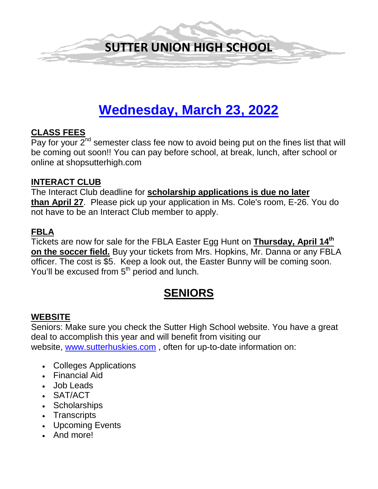

# **Wednesday, March 23, 2022**

### **CLASS FEES**

Pay for your  $2^{nd}$  semester class fee now to avoid being put on the fines list that will be coming out soon!! You can pay before school, at break, lunch, after school or online at shopsutterhigh.com

### **INTERACT CLUB**

The Interact Club deadline for **scholarship applications is due no later than April 27**. Please pick up your application in Ms. Cole's room, E-26. You do not have to be an Interact Club member to apply.

### **FBLA**

Tickets are now for sale for the FBLA Easter Egg Hunt on **Thursday, April 14th on the soccer field.** Buy your tickets from Mrs. Hopkins, Mr. Danna or any FBLA officer. The cost is \$5. Keep a look out, the Easter Bunny will be coming soon. You'll be excused from 5<sup>th</sup> period and lunch.

# **SENIORS**

## **WEBSITE**

Seniors: Make sure you check the Sutter High School website. You have a great deal to accomplish this year and will benefit from visiting our website, [www.sutterhuskies.com](http://www.sutterhuskies.com/) , often for up-to-date information on:

- Colleges Applications
- Financial Aid
- Job Leads
- SAT/ACT
- Scholarships
- Transcripts
- Upcoming Events
- And more!